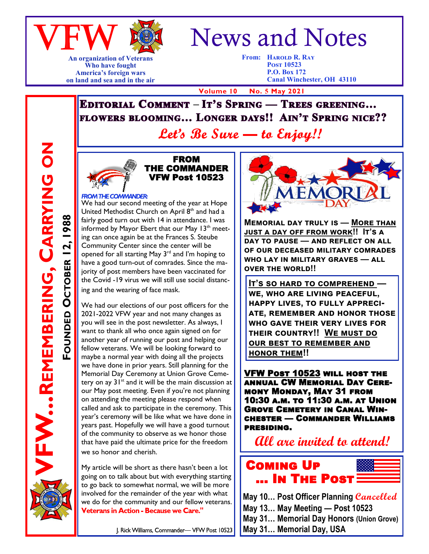

**An organization of Veterans**

#### **Who have fought America's foreign wars on land and sea and in the air**

# News and Notes

**From: Harold R. Ray Post 10523 P.O. Box 172 Canal Winchester, OH 43110**

 **Volume 10 No. 5 May 2021**

**EDITORIAL COMMENT - IT'S SPRING — TREES GREENING...** FLOWERS BLOOMING... LONGER DAYS!! AIN'T SPRING NICE??

Let's Be Sure — to Enjoy!!



#### FROM THE COMMANDER VFW Post 10523

#### **FROM THE COMMANDER:**

We had our second meeting of the year at Hope United Methodist Church on April  $8<sup>th</sup>$  and had a fairly good turn out with 14 in attendance. I was informed by Mayor Ebert that our May  $13<sup>th</sup>$  meeting can once again be at the Frances S. Steube Community Center since the center will be opened for all starting May 3rd and I'm hoping to have a good turn-out of comrades. Since the majority of post members have been vaccinated for the Covid -19 virus we will still use social distanc-

ing and the wearing of face mask.

We had our elections of our post officers for the 2021-2022 VFW year and not many changes as you will see in the post newsletter. As always, I want to thank all who once again signed on for another year of running our post and helping our fellow veterans. We will be looking forward to maybe a normal year with doing all the projects we have done in prior years. Still planning for the Memorial Day Ceremony at Union Grove Cemetery on ay  $31^{st}$  and it will be the main discussion at our May post meeting. Even if you're not planning on attending the meeting please respond when called and ask to participate in the ceremony. This year's ceremony will be like what we have done in years past. Hopefully we will have a good turnout of the community to observe as we honor those that have paid the ultimate price for the freedom we so honor and cherish.

My article will be short as there hasn't been a lot going on to talk about but with everything starting to go back to somewhat normal, we will be more involved for the remainder of the year with what we do for the community and our fellow veterans. Veterans in Action - Because we Care."



**Memorial day truly is — More than just a day off from work!! It's a day to pause — and reflect on all of our deceased military comrades who lay in military graves — all OVER THE WORLD!!** 

**It's so hard to comprehend we, who are living peaceful, happy lives, to fully appreciate, remember and honor those who gave their very lives for their country!! We must do our best to remember and honor them!!**

VFW Post 10523 will host the annual CW Memorial Day Ceremony Monday, May 31 from 10:30 a.m. to 11:30 a.m. at Union Grove Cemetery in Canal Winchester — Commander Williams presiding.

**All are invited to attend!**



**May 10… Post Officer Planning Cancelled May 13… May Meeting — Post 10523 May 31… Memorial Day Honors (Union Grove) May 31… Memorial Day, USA**

**FW...REMBERING, CARRYING ON REMEMBERING, CARRYING ON** FOUNDED OCTOBER 12, 1988 **OCTOBER 12, 1988**

J. Rick Williams, Commander-VFW Post 10523